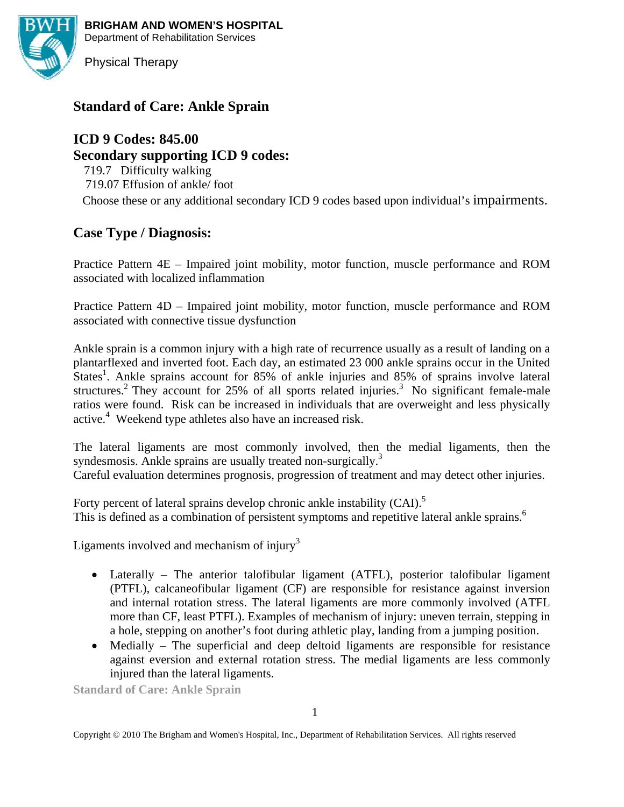**BRIGHAM AND WOMEN'S HOSPITAL**  Department of Rehabilitation Services



Physical Therapy

# **Standard of Care: Ankle Sprain**

# **ICD 9 Codes: 845.00**

**Secondary supporting ICD 9 codes:** 

719.7 Difficulty walking 719.07 Effusion of ankle/ foot

Choose these or any additional secondary ICD 9 codes based upon individual's impairments.

# **Case Type / Diagnosis:**

Practice Pattern 4E – Impaired joint mobility, motor function, muscle performance and ROM associated with localized inflammation

Practice Pattern 4D – Impaired joint mobility, motor function, muscle performance and ROM associated with connective tissue dysfunction

Ankle sprain is a common injury with a high rate of recurrence usually as a result of landing on a plantarflexed and inverted foot. Each day, an estimated 23 000 ankle sprains occur in the United States<sup>1</sup>. Ankle sprains account for 85% of ankle injuries and 85% of sprains involve lateral structures.<sup>2</sup> They account for 25% of all sports related injuries.<sup>3</sup> No significant female-male ratios were found. Risk can be increased in individuals that are overweight and less physically active.<sup>4</sup> Weekend type athletes also have an increased risk.

The lateral ligaments are most commonly involved, then the medial ligaments, then the syndesmosis. Ankle sprains are usually treated non-surgically.<sup>3</sup> Careful evaluation determines prognosis, progression of treatment and may detect other injuries.

Forty percent of lateral sprains develop chronic ankle instability (CAI).<sup>5</sup> This is defined as a combination of persistent symptoms and repetitive lateral ankle sprains.<sup>6</sup>

Ligaments involved and mechanism of injury<sup>3</sup>

- Laterally The anterior talofibular ligament (ATFL), posterior talofibular ligament (PTFL), calcaneofibular ligament (CF) are responsible for resistance against inversion and internal rotation stress. The lateral ligaments are more commonly involved (ATFL more than CF, least PTFL). Examples of mechanism of injury: uneven terrain, stepping in a hole, stepping on another's foot during athletic play, landing from a jumping position.
- Medially The superficial and deep deltoid ligaments are responsible for resistance against eversion and external rotation stress. The medial ligaments are less commonly injured than the lateral ligaments.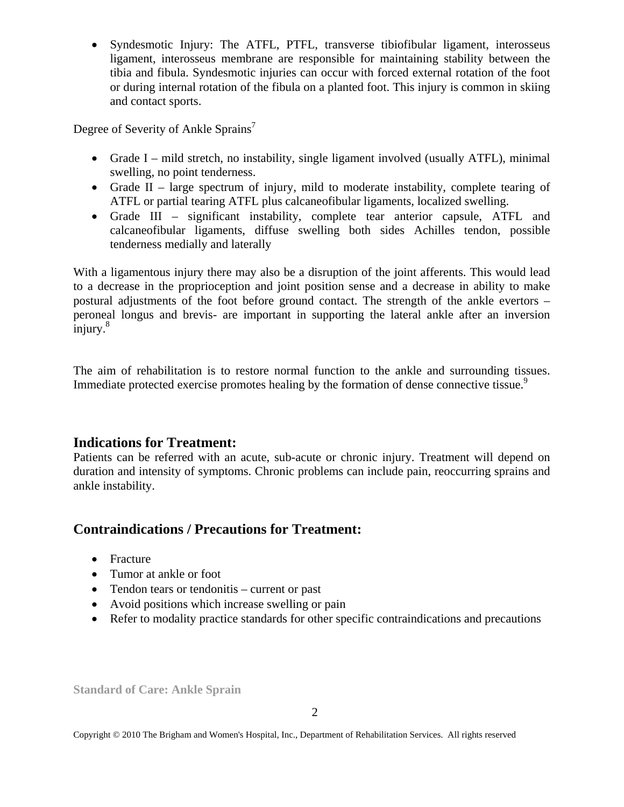• Syndesmotic Injury: The ATFL, PTFL, transverse tibiofibular ligament, interosseus ligament, interosseus membrane are responsible for maintaining stability between the tibia and fibula. Syndesmotic injuries can occur with forced external rotation of the foot or during internal rotation of the fibula on a planted foot. This injury is common in skiing and contact sports.

Degree of Severity of Ankle Sprains<sup>7</sup>

- Grade I mild stretch, no instability, single ligament involved (usually ATFL), minimal swelling, no point tenderness.
- Grade II large spectrum of injury, mild to moderate instability, complete tearing of ATFL or partial tearing ATFL plus calcaneofibular ligaments, localized swelling.
- Grade III significant instability, complete tear anterior capsule, ATFL and calcaneofibular ligaments, diffuse swelling both sides Achilles tendon, possible tenderness medially and laterally

With a ligamentous injury there may also be a disruption of the joint afferents. This would lead to a decrease in the proprioception and joint position sense and a decrease in ability to make postural adjustments of the foot before ground contact. The strength of the ankle evertors – peroneal longus and brevis- are important in supporting the lateral ankle after an inversion injury.<sup>8</sup>

The aim of rehabilitation is to restore normal function to the ankle and surrounding tissues. Immediate protected exercise promotes healing by the formation of dense connective tissue.<sup>9</sup>

# **Indications for Treatment:**

Patients can be referred with an acute, sub-acute or chronic injury. Treatment will depend on duration and intensity of symptoms. Chronic problems can include pain, reoccurring sprains and ankle instability.

# **Contraindications / Precautions for Treatment:**

- Fracture
- Tumor at ankle or foot
- Tendon tears or tendonitis current or past
- Avoid positions which increase swelling or pain
- Refer to modality practice standards for other specific contraindications and precautions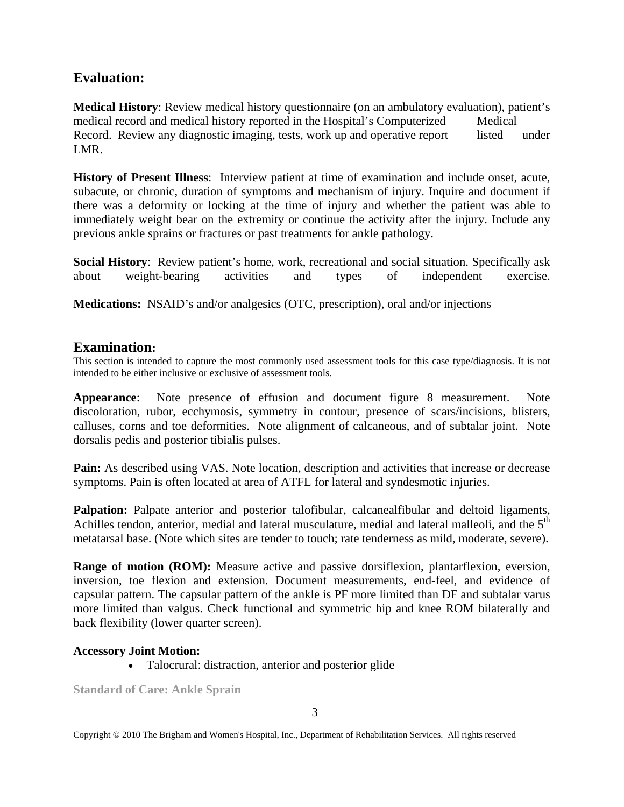# **Evaluation:**

**Medical History**: Review medical history questionnaire (on an ambulatory evaluation), patient's medical record and medical history reported in the Hospital's Computerized Medical Record. Review any diagnostic imaging, tests, work up and operative report listed under LMR.

**History of Present Illness**: Interview patient at time of examination and include onset, acute, subacute, or chronic, duration of symptoms and mechanism of injury. Inquire and document if there was a deformity or locking at the time of injury and whether the patient was able to immediately weight bear on the extremity or continue the activity after the injury. Include any previous ankle sprains or fractures or past treatments for ankle pathology.

**Social History**: Review patient's home, work, recreational and social situation. Specifically ask about weight-bearing activities and types of independent exercise.

**Medications:** NSAID's and/or analgesics (OTC, prescription), oral and/or injections

## **Examination:**

This section is intended to capture the most commonly used assessment tools for this case type/diagnosis. It is not intended to be either inclusive or exclusive of assessment tools.

**Appearance**: Note presence of effusion and document figure 8 measurement. Note discoloration, rubor, ecchymosis, symmetry in contour, presence of scars/incisions, blisters, calluses, corns and toe deformities. Note alignment of calcaneous, and of subtalar joint. Note dorsalis pedis and posterior tibialis pulses.

**Pain:** As described using VAS. Note location, description and activities that increase or decrease symptoms. Pain is often located at area of ATFL for lateral and syndesmotic injuries.

Palpation: Palpate anterior and posterior talofibular, calcanealfibular and deltoid ligaments, Achilles tendon, anterior, medial and lateral musculature, medial and lateral malleoli, and the  $5<sup>th</sup>$ metatarsal base. (Note which sites are tender to touch; rate tenderness as mild, moderate, severe).

**Range of motion (ROM):** Measure active and passive dorsiflexion, plantarflexion, eversion, inversion, toe flexion and extension. Document measurements, end-feel, and evidence of capsular pattern. The capsular pattern of the ankle is PF more limited than DF and subtalar varus more limited than valgus. Check functional and symmetric hip and knee ROM bilaterally and back flexibility (lower quarter screen).

#### **Accessory Joint Motion:**

• Talocrural: distraction, anterior and posterior glide

**Standard of Care: Ankle Sprain**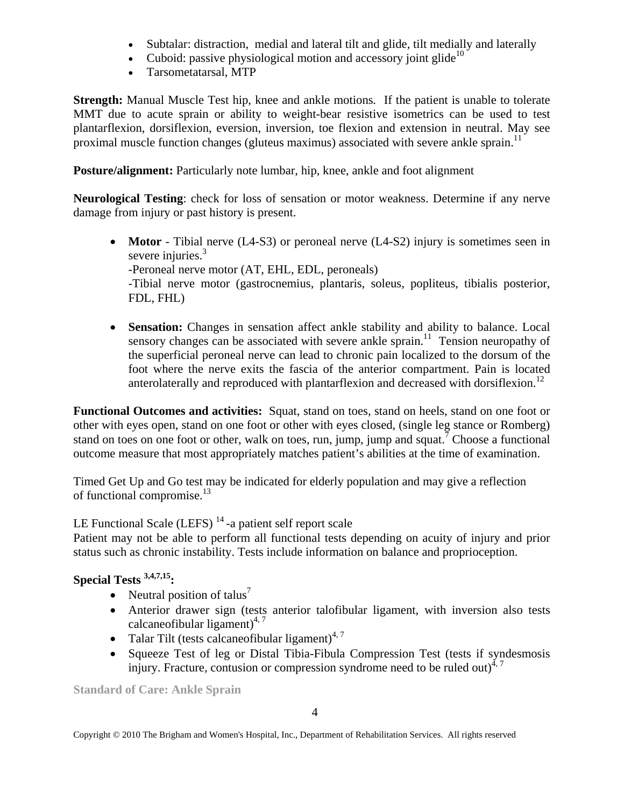- Subtalar: distraction, medial and lateral tilt and glide, tilt medially and laterally
- Cuboid: passive physiological motion and accessory joint glide<sup>10</sup>
- Tarsometatarsal, MTP

**Strength:** Manual Muscle Test hip, knee and ankle motions*.* If the patient is unable to tolerate MMT due to acute sprain or ability to weight-bear resistive isometrics can be used to test plantarflexion, dorsiflexion, eversion, inversion, toe flexion and extension in neutral. May see proximal muscle function changes (gluteus maximus) associated with severe ankle sprain.<sup>11</sup>

**Posture/alignment:** Particularly note lumbar, hip, knee, ankle and foot alignment

**Neurological Testing**: check for loss of sensation or motor weakness. Determine if any nerve damage from injury or past history is present.

- **Motor** Tibial nerve (L4-S3) or peroneal nerve (L4-S2) injury is sometimes seen in severe injuries.<sup>3</sup> -Peroneal nerve motor (AT, EHL, EDL, peroneals) -Tibial nerve motor (gastrocnemius, plantaris, soleus, popliteus, tibialis posterior, FDL, FHL)
- **Sensation:** Changes in sensation affect ankle stability and ability to balance. Local sensory changes can be associated with severe ankle sprain.<sup>11</sup> Tension neuropathy of the superficial peroneal nerve can lead to chronic pain localized to the dorsum of the foot where the nerve exits the fascia of the anterior compartment. Pain is located anterolaterally and reproduced with plantarflexion and decreased with dorsiflexion.<sup>12</sup>

**Functional Outcomes and activities:** Squat, stand on toes, stand on heels, stand on one foot or other with eyes open, stand on one foot or other with eyes closed, (single leg stance or Romberg) stand on toes on one foot or other, walk on toes, run, jump, jump and squat.<sup>7</sup> Choose a functional outcome measure that most appropriately matches patient's abilities at the time of examination.

Timed Get Up and Go test may be indicated for elderly population and may give a reflection of functional compromise.13

LE Functional Scale (LEFS)<sup>14</sup>-a patient self report scale

Patient may not be able to perform all functional tests depending on acuity of injury and prior status such as chronic instability. Tests include information on balance and proprioception.

# **Special Tests 3,4,7,15:**

- Neutral position of talus<sup>7</sup>
- Anterior drawer sign (tests anterior talofibular ligament, with inversion also tests calcaneofibular ligament)<sup>4, 7</sup>
- Talar Tilt (tests calcaneofibular ligament) $4.7$
- Squeeze Test of leg or Distal Tibia-Fibula Compression Test (tests if syndesmosis injury. Fracture, contusion or compression syndrome need to be ruled out) $4,7$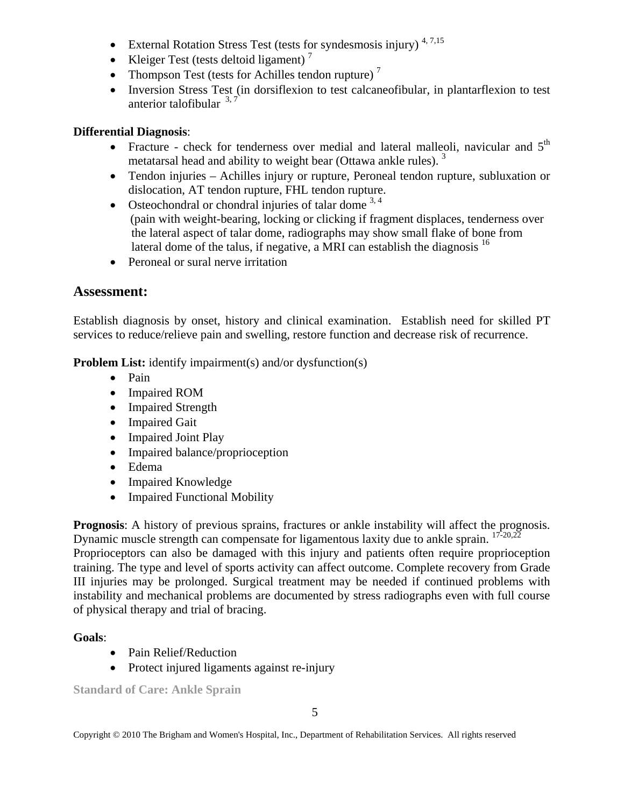- External Rotation Stress Test (tests for syndesmosis injury)<sup>4, 7,15</sup>
- Kleiger Test (tests deltoid ligament) $^7$
- Thompson Test (tests for Achilles tendon rupture)<sup>7</sup>
- Inversion Stress Test (in dorsiflexion to test calcaneofibular, in plantarflexion to test anterior talofibular  $3,7$

#### **Differential Diagnosis**:

- Fracture check for tenderness over medial and lateral malleoli, navicular and  $5<sup>th</sup>$ metatarsal head and ability to weight bear (Ottawa ankle rules).<sup>3</sup>
- Tendon injuries Achilles injury or rupture, Peroneal tendon rupture, subluxation or dislocation, AT tendon rupture, FHL tendon rupture.
- Osteochondral or chondral injuries of talar dome  $3,4$  (pain with weight-bearing, locking or clicking if fragment displaces, tenderness over the lateral aspect of talar dome, radiographs may show small flake of bone from lateral dome of the talus, if negative, a MRI can establish the diagnosis  $16$
- Peroneal or sural nerve irritation

## **Assessment:**

Establish diagnosis by onset, history and clinical examination. Establish need for skilled PT services to reduce/relieve pain and swelling, restore function and decrease risk of recurrence.

**Problem List:** identify impairment(s) and/or dysfunction(s)

- Pain
- Impaired ROM
- Impaired Strength
- Impaired Gait
- Impaired Joint Play
- Impaired balance/proprioception
- Edema
- Impaired Knowledge
- Impaired Functional Mobility

**Prognosis**: A history of previous sprains, fractures or ankle instability will affect the prognosis. Dynamic muscle strength can compensate for ligamentous laxity due to ankle sprain.  $17\cdot20.22$ 

Proprioceptors can also be damaged with this injury and patients often require proprioception training. The type and level of sports activity can affect outcome. Complete recovery from Grade III injuries may be prolonged. Surgical treatment may be needed if continued problems with instability and mechanical problems are documented by stress radiographs even with full course of physical therapy and trial of bracing.

## **Goals**:

- Pain Relief/Reduction
- Protect injured ligaments against re-injury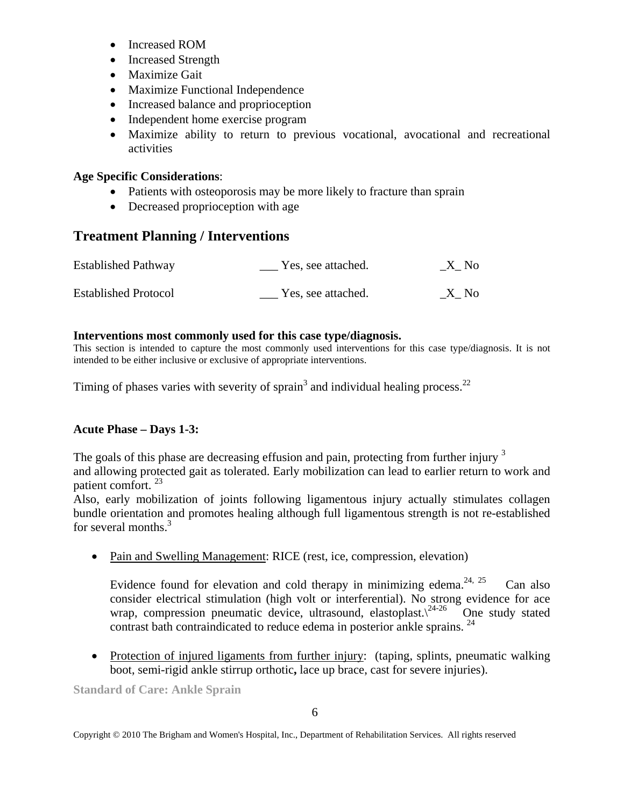- Increased ROM
- Increased Strength
- Maximize Gait
- Maximize Functional Independence
- Increased balance and proprioception
- Independent home exercise program
- Maximize ability to return to previous vocational, avocational and recreational activities

## **Age Specific Considerations**:

- Patients with osteoporosis may be more likely to fracture than sprain
- Decreased proprioception with age

# **Treatment Planning / Interventions**

| <b>Established Pathway</b>  | Yes, see attached. | X No |
|-----------------------------|--------------------|------|
| <b>Established Protocol</b> | Yes, see attached. | X No |

#### **Interventions most commonly used for this case type/diagnosis.**

This section is intended to capture the most commonly used interventions for this case type/diagnosis. It is not intended to be either inclusive or exclusive of appropriate interventions.

Timing of phases varies with severity of sprain<sup>3</sup> and individual healing process.<sup>22</sup>

## **Acute Phase – Days 1-3:**

The goals of this phase are decreasing effusion and pain, protecting from further injury <sup>3</sup> and allowing protected gait as tolerated. Early mobilization can lead to earlier return to work and patient comfort. 23

Also, early mobilization of joints following ligamentous injury actually stimulates collagen bundle orientation and promotes healing although full ligamentous strength is not re-established for several months.<sup>3</sup>

• Pain and Swelling Management: RICE (rest, ice, compression, elevation)

Evidence found for elevation and cold therapy in minimizing edema.<sup>24, 25</sup> Can also consider electrical stimulation (high volt or interferential). No strong evidence for ace wrap, compression pneumatic device, ultrasound, elastoplast. $\sqrt{24-26}$  One study stated contrast bath contraindicated to reduce edema in posterior ankle sprains.  $^{24}$ 

• Protection of injured ligaments from further injury: (taping, splints, pneumatic walking boot, semi-rigid ankle stirrup orthotic**,** lace up brace, cast for severe injuries).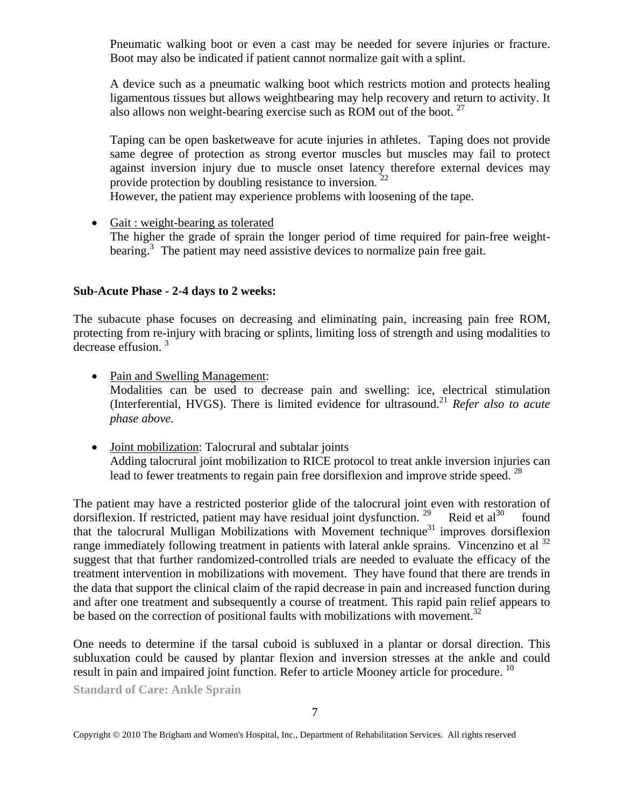Pneumatic walking boot or even a cast may be needed for severe injuries or fracture. Boot may also be indicated if patient cannot normalize gait with a splint.

 A device such as a pneumatic walking boot which restricts motion and protects healing ligamentous tissues but allows weightbearing may help recovery and return to activity. It also allows non weight-bearing exercise such as ROM out of the boot.  $27$ 

 Taping can be open basketweave for acute injuries in athletes. Taping does not provide same degree of protection as strong evertor muscles but muscles may fail to protect against inversion injury due to muscle onset latency therefore external devices may provide protection by doubling resistance to inversion.

However, the patient may experience problems with loosening of the tape.

• Gait : weight-bearing as tolerated The higher the grade of sprain the longer period of time required for pain-free weight bearing.<sup>3</sup> The patient may need assistive devices to normalize pain free gait.

#### **Sub-Acute Phase - 2-4 days to 2 weeks:**

The subacute phase focuses on decreasing and eliminating pain, increasing pain free ROM, protecting from re-injury with bracing or splints, limiting loss of strength and using modalities to decrease effusion.<sup>3</sup>

- Pain and Swelling Management: Modalities can be used to decrease pain and swelling: ice, electrical stimulation (Interferential, HVGS). There is limited evidence for ultrasound.21 *Refer also to acute phase above.*
- Joint mobilization: Talocrural and subtalar joints Adding talocrural joint mobilization to RICE protocol to treat ankle inversion injuries can lead to fewer treatments to regain pain free dorsiflexion and improve stride speed.<sup>28</sup>

The patient may have a restricted posterior glide of the talocrural joint even with restoration of dorsiflexion. If restricted, patient may have residual joint dysfunction. <sup>29</sup> Reid et al<sup>30</sup> found that the talocrural Mulligan Mobilizations with Movement technique<sup>31</sup> improves dorsiflexion range immediately following treatment in patients with lateral ankle sprains. Vincenzino et al  $^{32}$ suggest that that further randomized-controlled trials are needed to evaluate the efficacy of the treatment intervention in mobilizations with movement. They have found that there are trends in the data that support the clinical claim of the rapid decrease in pain and increased function during and after one treatment and subsequently a course of treatment. This rapid pain relief appears to be based on the correction of positional faults with mobilizations with movement.<sup>32</sup>

One needs to determine if the tarsal cuboid is subluxed in a plantar or dorsal direction. This subluxation could be caused by plantar flexion and inversion stresses at the ankle and could result in pain and impaired joint function. Refer to article Mooney article for procedure. <sup>10</sup>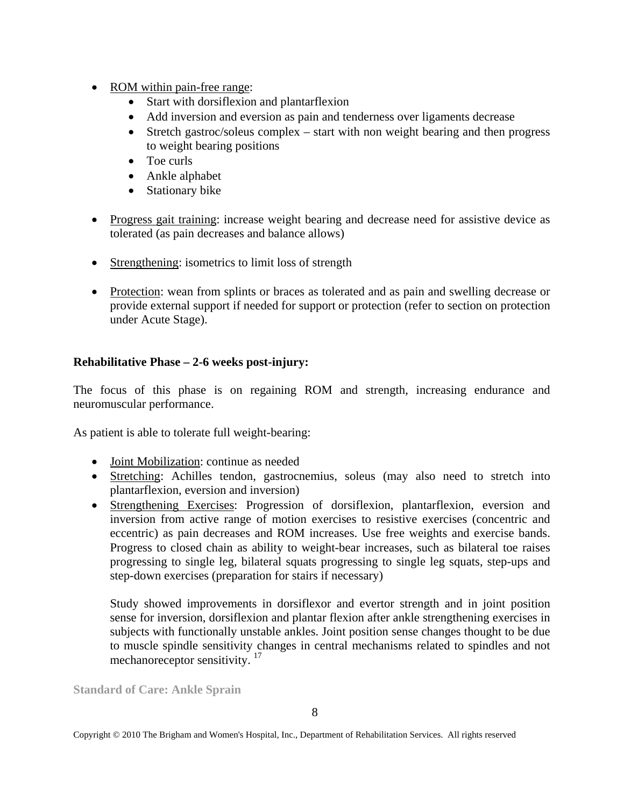- ROM within pain-free range:
	- Start with dorsiflexion and plantarflexion
	- Add inversion and eversion as pain and tenderness over ligaments decrease
	- Stretch gastroc/soleus complex start with non weight bearing and then progress to weight bearing positions
	- Toe curls
	- Ankle alphabet
	- Stationary bike
- Progress gait training: increase weight bearing and decrease need for assistive device as tolerated (as pain decreases and balance allows)
- Strengthening: isometrics to limit loss of strength
- Protection: wean from splints or braces as tolerated and as pain and swelling decrease or provide external support if needed for support or protection (refer to section on protection under Acute Stage).

#### **Rehabilitative Phase – 2-6 weeks post-injury:**

The focus of this phase is on regaining ROM and strength, increasing endurance and neuromuscular performance.

As patient is able to tolerate full weight-bearing:

- Joint Mobilization: continue as needed
- Stretching: Achilles tendon, gastrocnemius, soleus (may also need to stretch into plantarflexion, eversion and inversion)
- Strengthening Exercises: Progression of dorsiflexion, plantarflexion, eversion and inversion from active range of motion exercises to resistive exercises (concentric and eccentric) as pain decreases and ROM increases. Use free weights and exercise bands. Progress to closed chain as ability to weight-bear increases, such as bilateral toe raises progressing to single leg, bilateral squats progressing to single leg squats, step-ups and step-down exercises (preparation for stairs if necessary)

 Study showed improvements in dorsiflexor and evertor strength and in joint position sense for inversion, dorsiflexion and plantar flexion after ankle strengthening exercises in subjects with functionally unstable ankles. Joint position sense changes thought to be due to muscle spindle sensitivity changes in central mechanisms related to spindles and not mechanoreceptor sensitivity.<sup>17</sup>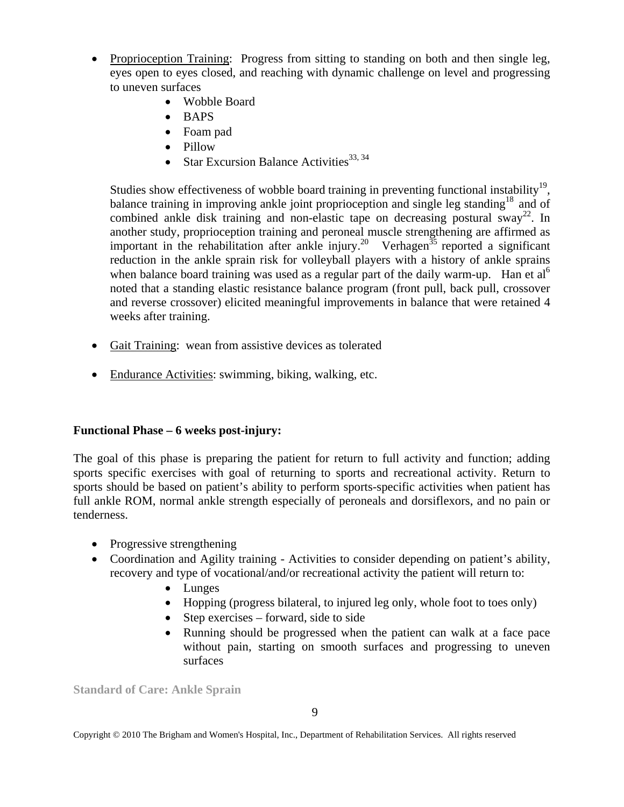- Proprioception Training: Progress from sitting to standing on both and then single leg, eyes open to eyes closed, and reaching with dynamic challenge on level and progressing to uneven surfaces
	- Wobble Board
	- BAPS
	- Foam pad
	- Pillow
	- Star Excursion Balance Activities  $33, 34$

Studies show effectiveness of wobble board training in preventing functional instability<sup>19</sup>, balance training in improving ankle joint proprioception and single leg standing<sup>18</sup> and of combined ankle disk training and non-elastic tape on decreasing postural sway<sup>22</sup>. In another study, proprioception training and peroneal muscle strengthening are affirmed as important in the rehabilitation after ankle injury.<sup>20</sup> Verhagen<sup>35</sup> reported a significant reduction in the ankle sprain risk for volleyball players with a history of ankle sprains when balance board training was used as a regular part of the daily warm-up. Han et al<sup>6</sup> noted that a standing elastic resistance balance program (front pull, back pull, crossover and reverse crossover) elicited meaningful improvements in balance that were retained 4 weeks after training.

- Gait Training: wean from assistive devices as tolerated
- Endurance Activities: swimming, biking, walking, etc.

## **Functional Phase – 6 weeks post-injury:**

The goal of this phase is preparing the patient for return to full activity and function; adding sports specific exercises with goal of returning to sports and recreational activity. Return to sports should be based on patient's ability to perform sports-specific activities when patient has full ankle ROM, normal ankle strength especially of peroneals and dorsiflexors, and no pain or tenderness.

- Progressive strengthening
- Coordination and Agility training Activities to consider depending on patient's ability, recovery and type of vocational/and/or recreational activity the patient will return to:
	- Lunges
	- Hopping (progress bilateral, to injured leg only, whole foot to toes only)
	- Step exercises forward, side to side
	- Running should be progressed when the patient can walk at a face pace without pain, starting on smooth surfaces and progressing to uneven surfaces

**Standard of Care: Ankle Sprain**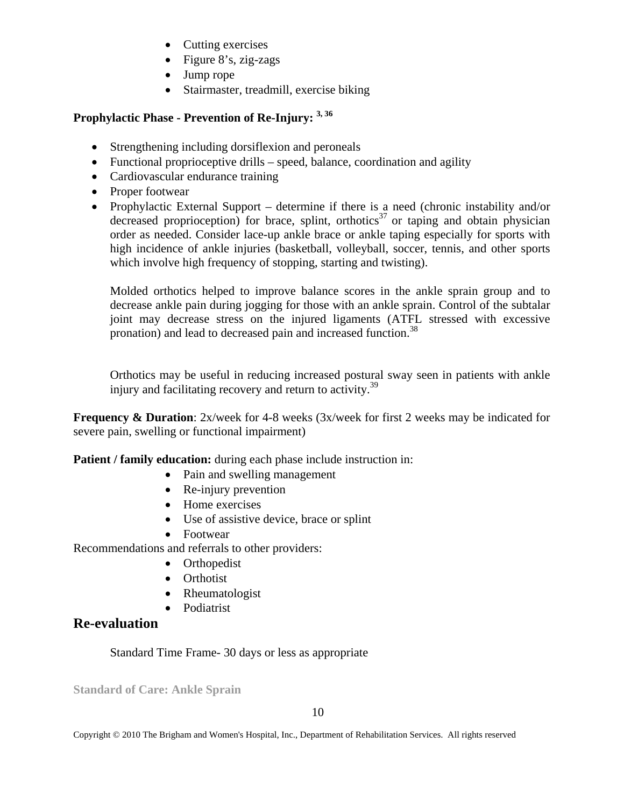- Cutting exercises
- Figure 8's, zig-zags
- Jump rope
- Stairmaster, treadmill, exercise biking

## **Prophylactic Phase - Prevention of Re-Injury: 3, 36**

- Strengthening including dorsiflexion and peroneals
- Functional proprioceptive drills speed, balance, coordination and agility
- Cardiovascular endurance training
- Proper footwear
- Prophylactic External Support determine if there is a need (chronic instability and/or decreased proprioception) for brace, splint, orthotics<sup>37</sup> or taping and obtain physician order as needed. Consider lace-up ankle brace or ankle taping especially for sports with high incidence of ankle injuries (basketball, volleyball, soccer, tennis, and other sports which involve high frequency of stopping, starting and twisting).

 Molded orthotics helped to improve balance scores in the ankle sprain group and to decrease ankle pain during jogging for those with an ankle sprain. Control of the subtalar joint may decrease stress on the injured ligaments (ATFL stressed with excessive pronation) and lead to decreased pain and increased function.<sup>38</sup>

 Orthotics may be useful in reducing increased postural sway seen in patients with ankle injury and facilitating recovery and return to activity.<sup>39</sup>

**Frequency & Duration**: 2x/week for 4-8 weeks (3x/week for first 2 weeks may be indicated for severe pain, swelling or functional impairment)

**Patient / family education:** during each phase include instruction in:

- Pain and swelling management
- Re-injury prevention
- Home exercises
- Use of assistive device, brace or splint
- Footwear

Recommendations and referrals to other providers:

- Orthopedist
- Orthotist
- Rheumatologist
- Podiatrist

# **Re-evaluation**

Standard Time Frame- 30 days or less as appropriate

**Standard of Care: Ankle Sprain**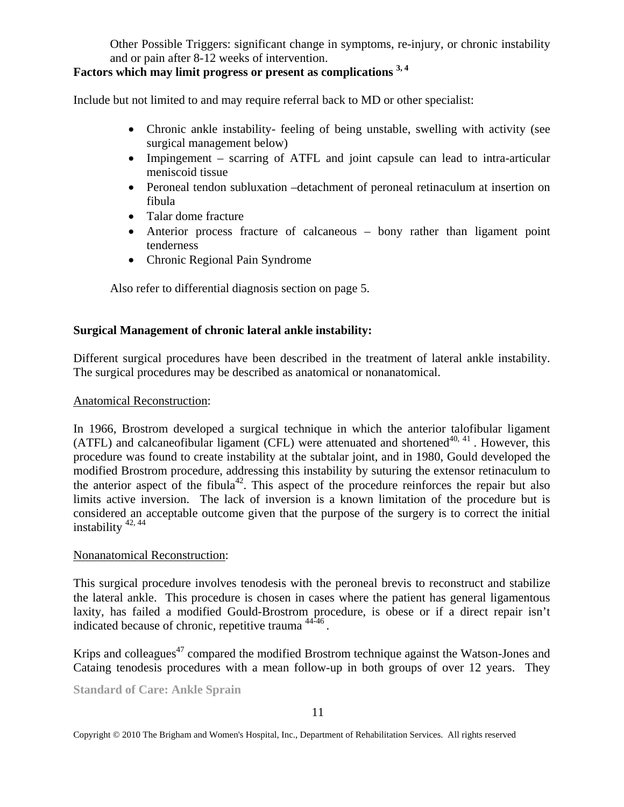Other Possible Triggers: significant change in symptoms, re-injury, or chronic instability and or pain after 8-12 weeks of intervention.

## **Factors which may limit progress or present as complications 3, 4**

Include but not limited to and may require referral back to MD or other specialist:

- Chronic ankle instability- feeling of being unstable, swelling with activity (see surgical management below)
- Impingement scarring of ATFL and joint capsule can lead to intra-articular meniscoid tissue
- Peroneal tendon subluxation –detachment of peroneal retinaculum at insertion on fibula
- Talar dome fracture
- Anterior process fracture of calcaneous bony rather than ligament point tenderness
- Chronic Regional Pain Syndrome

Also refer to differential diagnosis section on page 5.

## **Surgical Management of chronic lateral ankle instability:**

Different surgical procedures have been described in the treatment of lateral ankle instability. The surgical procedures may be described as anatomical or nonanatomical.

#### Anatomical Reconstruction:

In 1966, Brostrom developed a surgical technique in which the anterior talofibular ligament (ATFL) and calcaneofibular ligament (CFL) were attenuated and shortened<sup>40, 41</sup>. However, this procedure was found to create instability at the subtalar joint, and in 1980, Gould developed the modified Brostrom procedure, addressing this instability by suturing the extensor retinaculum to the anterior aspect of the fibula<sup>42</sup>. This aspect of the procedure reinforces the repair but also limits active inversion. The lack of inversion is a known limitation of the procedure but is considered an acceptable outcome given that the purpose of the surgery is to correct the initial instability  $42, 44$ 

#### Nonanatomical Reconstruction:

This surgical procedure involves tenodesis with the peroneal brevis to reconstruct and stabilize the lateral ankle. This procedure is chosen in cases where the patient has general ligamentous laxity, has failed a modified Gould-Brostrom procedure, is obese or if a direct repair isn't indicated because of chronic, repetitive trauma 44-46 .

Krips and colleagues<sup>47</sup> compared the modified Brostrom technique against the Watson-Jones and Cataing tenodesis procedures with a mean follow-up in both groups of over 12 years. They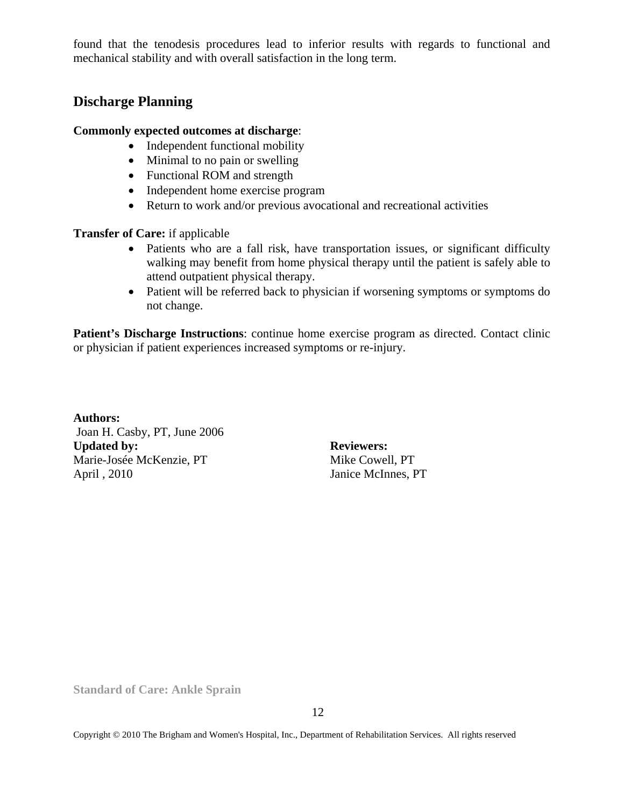found that the tenodesis procedures lead to inferior results with regards to functional and mechanical stability and with overall satisfaction in the long term.

## **Discharge Planning**

#### **Commonly expected outcomes at discharge**:

- Independent functional mobility
- Minimal to no pain or swelling
- Functional ROM and strength
- Independent home exercise program
- Return to work and/or previous avocational and recreational activities

**Transfer of Care:** if applicable

- Patients who are a fall risk, have transportation issues, or significant difficulty walking may benefit from home physical therapy until the patient is safely able to attend outpatient physical therapy.
- Patient will be referred back to physician if worsening symptoms or symptoms do not change.

**Patient's Discharge Instructions**: continue home exercise program as directed. Contact clinic or physician if patient experiences increased symptoms or re-injury.

**Authors:**  Joan H. Casby, PT, June 2006 Updated by: Reviewers: Marie-Josée McKenzie, PT Mike Cowell, PT April , 2010 Janice McInnes, PT

**Standard of Care: Ankle Sprain**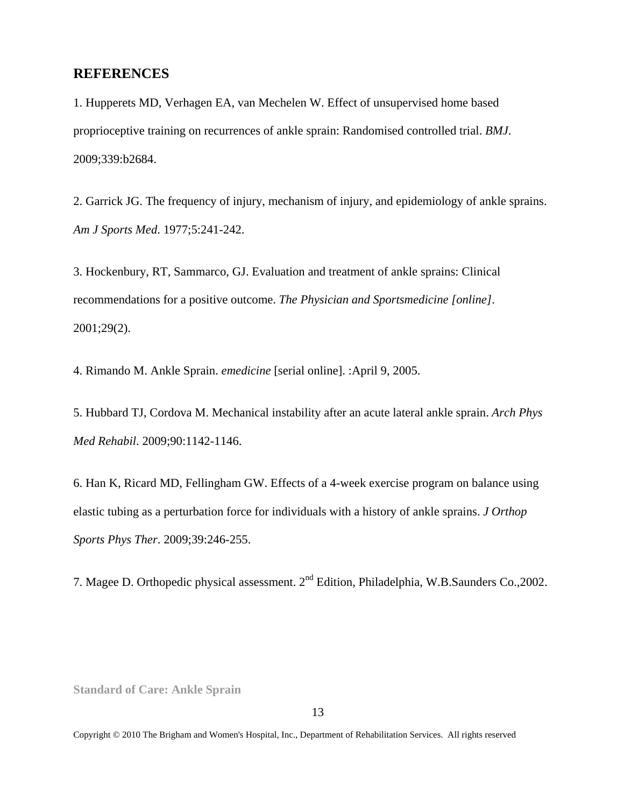#### **REFERENCES**

1. Hupperets MD, Verhagen EA, van Mechelen W. Effect of unsupervised home based proprioceptive training on recurrences of ankle sprain: Randomised controlled trial. *BMJ*. 2009;339:b2684.

2. Garrick JG. The frequency of injury, mechanism of injury, and epidemiology of ankle sprains. *Am J Sports Med*. 1977;5:241-242.

3. Hockenbury, RT, Sammarco, GJ. Evaluation and treatment of ankle sprains: Clinical recommendations for a positive outcome. *The Physician and Sportsmedicine [online]*. 2001;29(2).

4. Rimando M. Ankle Sprain. *emedicine* [serial online]. :April 9, 2005.

5. Hubbard TJ, Cordova M. Mechanical instability after an acute lateral ankle sprain. *Arch Phys Med Rehabil*. 2009;90:1142-1146.

6. Han K, Ricard MD, Fellingham GW. Effects of a 4-week exercise program on balance using elastic tubing as a perturbation force for individuals with a history of ankle sprains. *J Orthop Sports Phys Ther*. 2009;39:246-255.

7. Magee D. Orthopedic physical assessment. 2<sup>nd</sup> Edition, Philadelphia, W.B.Saunders Co., 2002.

**Standard of Care: Ankle Sprain**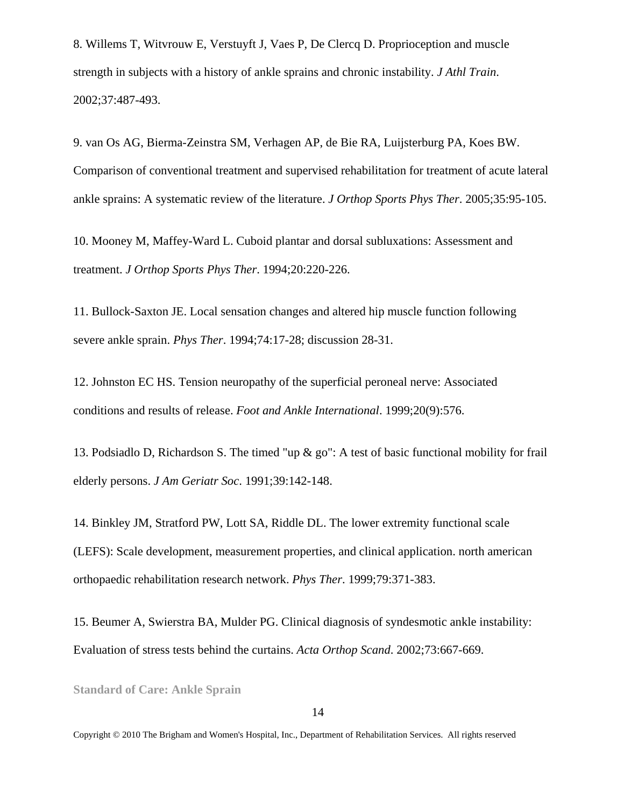8. Willems T, Witvrouw E, Verstuyft J, Vaes P, De Clercq D. Proprioception and muscle strength in subjects with a history of ankle sprains and chronic instability. *J Athl Train*. 2002;37:487-493.

9. van Os AG, Bierma-Zeinstra SM, Verhagen AP, de Bie RA, Luijsterburg PA, Koes BW. Comparison of conventional treatment and supervised rehabilitation for treatment of acute lateral ankle sprains: A systematic review of the literature. *J Orthop Sports Phys Ther*. 2005;35:95-105.

10. Mooney M, Maffey-Ward L. Cuboid plantar and dorsal subluxations: Assessment and treatment. *J Orthop Sports Phys Ther*. 1994;20:220-226.

11. Bullock-Saxton JE. Local sensation changes and altered hip muscle function following severe ankle sprain. *Phys Ther*. 1994;74:17-28; discussion 28-31.

12. Johnston EC HS. Tension neuropathy of the superficial peroneal nerve: Associated conditions and results of release. *Foot and Ankle International*. 1999;20(9):576.

13. Podsiadlo D, Richardson S. The timed "up & go": A test of basic functional mobility for frail elderly persons. *J Am Geriatr Soc*. 1991;39:142-148.

14. Binkley JM, Stratford PW, Lott SA, Riddle DL. The lower extremity functional scale (LEFS): Scale development, measurement properties, and clinical application. north american orthopaedic rehabilitation research network. *Phys Ther*. 1999;79:371-383.

15. Beumer A, Swierstra BA, Mulder PG. Clinical diagnosis of syndesmotic ankle instability: Evaluation of stress tests behind the curtains. *Acta Orthop Scand*. 2002;73:667-669.

**Standard of Care: Ankle Sprain**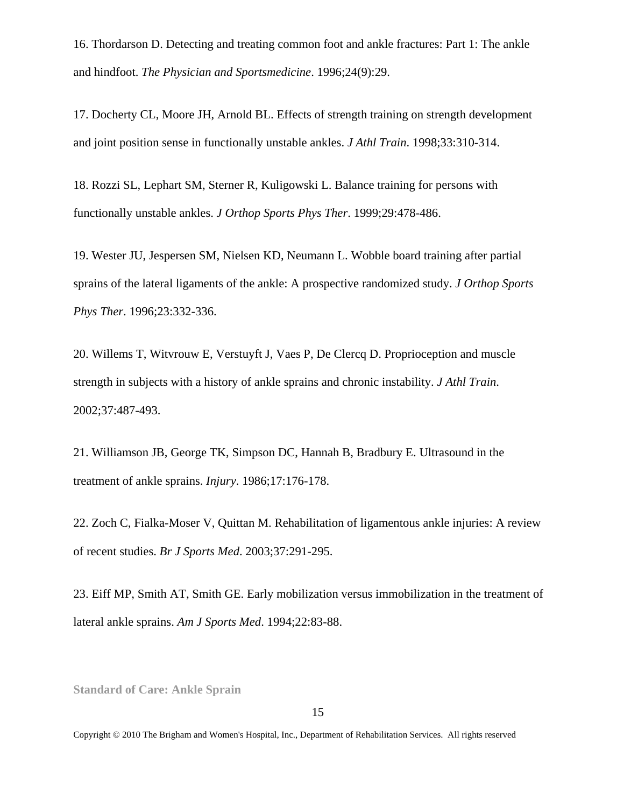16. Thordarson D. Detecting and treating common foot and ankle fractures: Part 1: The ankle and hindfoot. *The Physician and Sportsmedicine*. 1996;24(9):29.

17. Docherty CL, Moore JH, Arnold BL. Effects of strength training on strength development and joint position sense in functionally unstable ankles. *J Athl Train*. 1998;33:310-314.

18. Rozzi SL, Lephart SM, Sterner R, Kuligowski L. Balance training for persons with functionally unstable ankles. *J Orthop Sports Phys Ther*. 1999;29:478-486.

19. Wester JU, Jespersen SM, Nielsen KD, Neumann L. Wobble board training after partial sprains of the lateral ligaments of the ankle: A prospective randomized study. *J Orthop Sports Phys Ther*. 1996;23:332-336.

20. Willems T, Witvrouw E, Verstuyft J, Vaes P, De Clercq D. Proprioception and muscle strength in subjects with a history of ankle sprains and chronic instability. *J Athl Train*. 2002;37:487-493.

21. Williamson JB, George TK, Simpson DC, Hannah B, Bradbury E. Ultrasound in the treatment of ankle sprains. *Injury*. 1986;17:176-178.

22. Zoch C, Fialka-Moser V, Quittan M. Rehabilitation of ligamentous ankle injuries: A review of recent studies. *Br J Sports Med*. 2003;37:291-295.

23. Eiff MP, Smith AT, Smith GE. Early mobilization versus immobilization in the treatment of lateral ankle sprains. *Am J Sports Med*. 1994;22:83-88.

**Standard of Care: Ankle Sprain**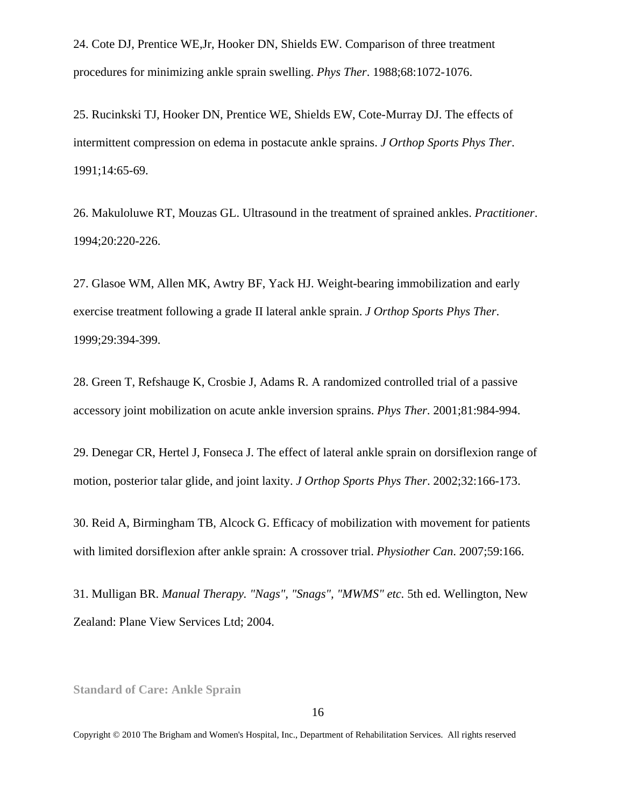24. Cote DJ, Prentice WE,Jr, Hooker DN, Shields EW. Comparison of three treatment procedures for minimizing ankle sprain swelling. *Phys Ther*. 1988;68:1072-1076.

25. Rucinkski TJ, Hooker DN, Prentice WE, Shields EW, Cote-Murray DJ. The effects of intermittent compression on edema in postacute ankle sprains. *J Orthop Sports Phys Ther*. 1991;14:65-69.

26. Makuloluwe RT, Mouzas GL. Ultrasound in the treatment of sprained ankles. *Practitioner*. 1994;20:220-226.

27. Glasoe WM, Allen MK, Awtry BF, Yack HJ. Weight-bearing immobilization and early exercise treatment following a grade II lateral ankle sprain. *J Orthop Sports Phys Ther*. 1999;29:394-399.

28. Green T, Refshauge K, Crosbie J, Adams R. A randomized controlled trial of a passive accessory joint mobilization on acute ankle inversion sprains. *Phys Ther*. 2001;81:984-994.

29. Denegar CR, Hertel J, Fonseca J. The effect of lateral ankle sprain on dorsiflexion range of motion, posterior talar glide, and joint laxity. *J Orthop Sports Phys Ther*. 2002;32:166-173.

30. Reid A, Birmingham TB, Alcock G. Efficacy of mobilization with movement for patients with limited dorsiflexion after ankle sprain: A crossover trial. *Physiother Can*. 2007;59:166.

31. Mulligan BR. *Manual Therapy. "Nags", "Snags", "MWMS" etc.* 5th ed. Wellington, New Zealand: Plane View Services Ltd; 2004.

**Standard of Care: Ankle Sprain**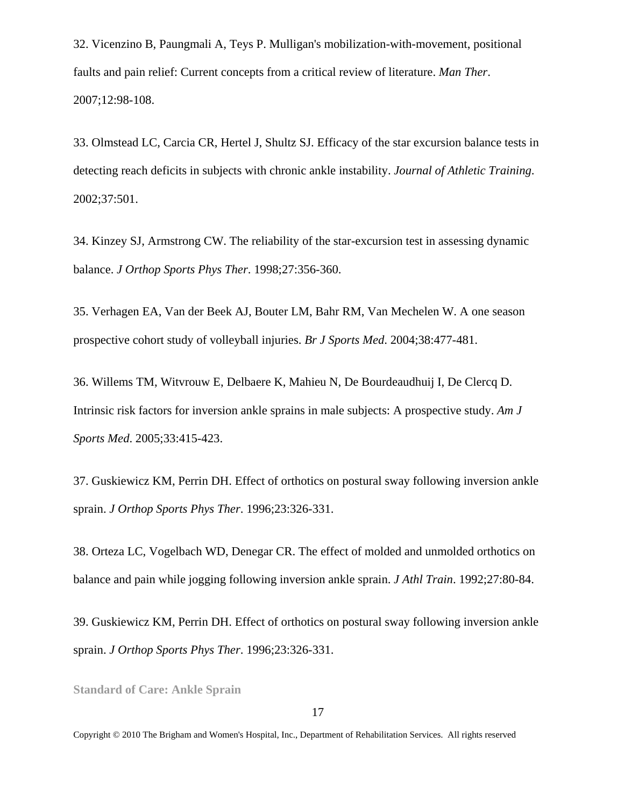32. Vicenzino B, Paungmali A, Teys P. Mulligan's mobilization-with-movement, positional faults and pain relief: Current concepts from a critical review of literature. *Man Ther*. 2007;12:98-108.

33. Olmstead LC, Carcia CR, Hertel J, Shultz SJ. Efficacy of the star excursion balance tests in detecting reach deficits in subjects with chronic ankle instability. *Journal of Athletic Training*. 2002;37:501.

34. Kinzey SJ, Armstrong CW. The reliability of the star-excursion test in assessing dynamic balance. *J Orthop Sports Phys Ther*. 1998;27:356-360.

35. Verhagen EA, Van der Beek AJ, Bouter LM, Bahr RM, Van Mechelen W. A one season prospective cohort study of volleyball injuries. *Br J Sports Med*. 2004;38:477-481.

36. Willems TM, Witvrouw E, Delbaere K, Mahieu N, De Bourdeaudhuij I, De Clercq D. Intrinsic risk factors for inversion ankle sprains in male subjects: A prospective study. *Am J Sports Med*. 2005;33:415-423.

37. Guskiewicz KM, Perrin DH. Effect of orthotics on postural sway following inversion ankle sprain. *J Orthop Sports Phys Ther*. 1996;23:326-331.

38. Orteza LC, Vogelbach WD, Denegar CR. The effect of molded and unmolded orthotics on balance and pain while jogging following inversion ankle sprain. *J Athl Train*. 1992;27:80-84.

39. Guskiewicz KM, Perrin DH. Effect of orthotics on postural sway following inversion ankle sprain. *J Orthop Sports Phys Ther*. 1996;23:326-331.

**Standard of Care: Ankle Sprain**